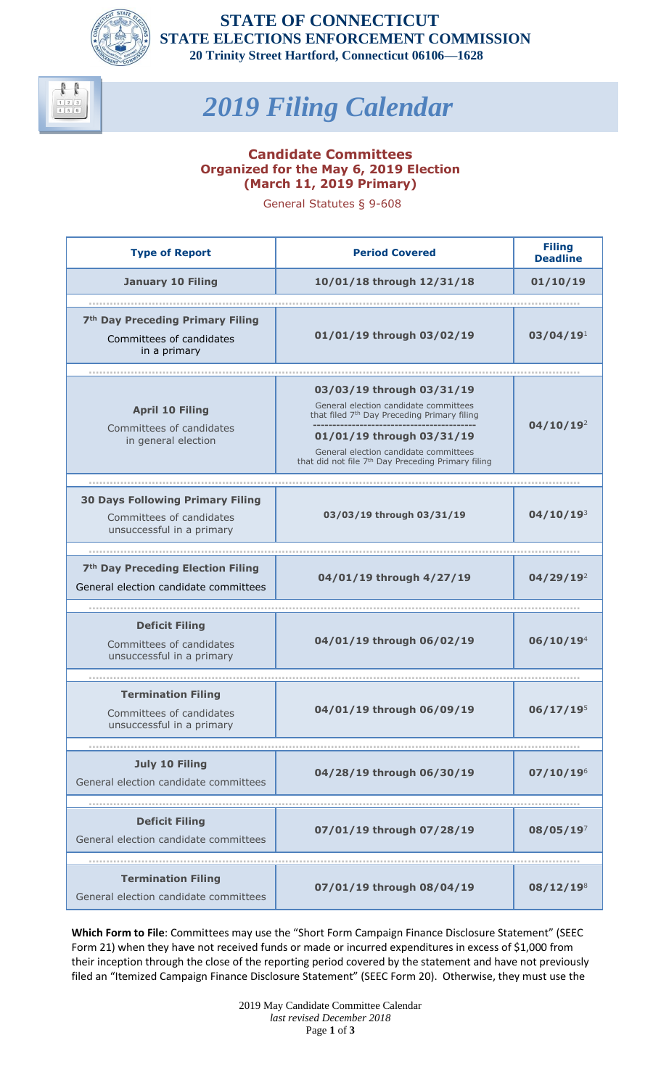

## *2019 Filing Calendar*

## **Candidate Committees Organized for the May 6, 2019 Election (March 11, 2019 Primary)**

General Statutes § 9-608

| <b>Type of Report</b>                                                                            | <b>Period Covered</b>                                                                                                                                                                                                                                                 | <b>Filing</b><br><b>Deadline</b> |
|--------------------------------------------------------------------------------------------------|-----------------------------------------------------------------------------------------------------------------------------------------------------------------------------------------------------------------------------------------------------------------------|----------------------------------|
| <b>January 10 Filing</b>                                                                         | 10/01/18 through 12/31/18                                                                                                                                                                                                                                             | 01/10/19                         |
|                                                                                                  |                                                                                                                                                                                                                                                                       |                                  |
| 7 <sup>th</sup> Day Preceding Primary Filing<br>Committees of candidates<br>in a primary         | 01/01/19 through 03/02/19                                                                                                                                                                                                                                             | 03/04/19 <sup>1</sup>            |
|                                                                                                  |                                                                                                                                                                                                                                                                       |                                  |
| <b>April 10 Filing</b><br>Committees of candidates<br>in general election                        | 03/03/19 through 03/31/19<br>General election candidate committees<br>that filed 7 <sup>th</sup> Day Preceding Primary filing<br>01/01/19 through 03/31/19<br>General election candidate committees<br>that did not file 7 <sup>th</sup> Day Preceding Primary filing | 04/10/19 <sup>2</sup>            |
|                                                                                                  |                                                                                                                                                                                                                                                                       |                                  |
| <b>30 Days Following Primary Filing</b><br>Committees of candidates<br>unsuccessful in a primary | 03/03/19 through 03/31/19                                                                                                                                                                                                                                             | $04/10/19^{3}$                   |
|                                                                                                  |                                                                                                                                                                                                                                                                       |                                  |
| 7 <sup>th</sup> Day Preceding Election Filing<br>General election candidate committees           | 04/01/19 through 4/27/19                                                                                                                                                                                                                                              | $04/29/19^2$                     |
|                                                                                                  |                                                                                                                                                                                                                                                                       |                                  |
| <b>Deficit Filing</b><br>Committees of candidates<br>unsuccessful in a primary                   | 04/01/19 through 06/02/19                                                                                                                                                                                                                                             | 06/10/19 <sup>4</sup>            |
|                                                                                                  |                                                                                                                                                                                                                                                                       |                                  |
| <b>Termination Filing</b><br>Committees of candidates<br>unsuccessful in a primary               | 04/01/19 through 06/09/19                                                                                                                                                                                                                                             | $06/17/19^{5}$                   |
|                                                                                                  |                                                                                                                                                                                                                                                                       |                                  |
| <b>July 10 Filing</b><br>General election candidate committees                                   | 04/28/19 through 06/30/19                                                                                                                                                                                                                                             | 07/10/19 <sup>6</sup>            |
|                                                                                                  |                                                                                                                                                                                                                                                                       |                                  |
| <b>Deficit Filing</b><br>General election candidate committees                                   | 07/01/19 through 07/28/19                                                                                                                                                                                                                                             | $08/05/19^7$                     |
|                                                                                                  |                                                                                                                                                                                                                                                                       |                                  |
| <b>Termination Filing</b><br>General election candidate committees                               | 07/01/19 through 08/04/19                                                                                                                                                                                                                                             | $08/12/19^{8}$                   |

**Which Form to File**: Committees may use the "Short Form Campaign Finance Disclosure Statement" (SEEC Form 21) when they have not received funds or made or incurred expenditures in excess of \$1,000 from their inception through the close of the reporting period covered by the statement and have not previously filed an "Itemized Campaign Finance Disclosure Statement" (SEEC Form 20). Otherwise, they must use the

> 2019 May Candidate Committee Calendar *last revised December 2018* Page **1** of **3**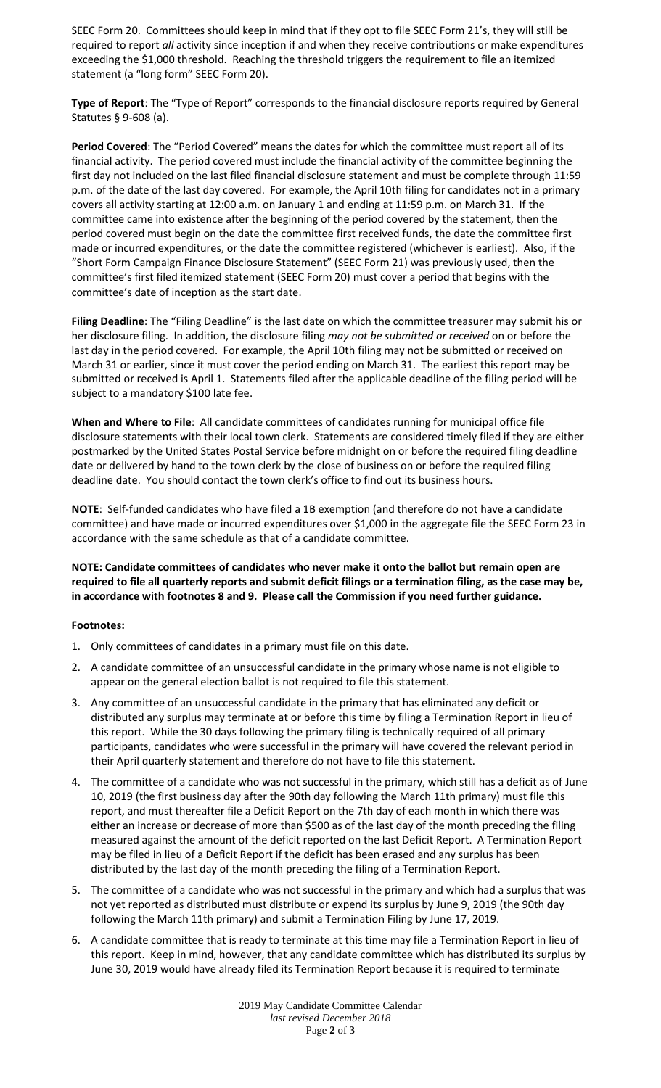SEEC Form 20. Committees should keep in mind that if they opt to file SEEC Form 21's, they will still be required to report *all* activity since inception if and when they receive contributions or make expenditures exceeding the \$1,000 threshold. Reaching the threshold triggers the requirement to file an itemized statement (a "long form" SEEC Form 20).

**Type of Report**: The "Type of Report" corresponds to the financial disclosure reports required by General Statutes § 9‐608 (a).

**Period Covered**: The "Period Covered" means the dates for which the committee must report all of its financial activity. The period covered must include the financial activity of the committee beginning the first day not included on the last filed financial disclosure statement and must be complete through 11:59 p.m. of the date of the last day covered. For example, the April 10th filing for candidates not in a primary covers all activity starting at 12:00 a.m. on January 1 and ending at 11:59 p.m. on March 31. If the committee came into existence after the beginning of the period covered by the statement, then the period covered must begin on the date the committee first received funds, the date the committee first made or incurred expenditures, or the date the committee registered (whichever is earliest). Also, if the "Short Form Campaign Finance Disclosure Statement" (SEEC Form 21) was previously used, then the committee's first filed itemized statement (SEEC Form 20) must cover a period that begins with the committee's date of inception as the start date.

**Filing Deadline**: The "Filing Deadline" is the last date on which the committee treasurer may submit his or her disclosure filing. In addition, the disclosure filing *may not be submitted or received* on or before the last day in the period covered. For example, the April 10th filing may not be submitted or received on March 31 or earlier, since it must cover the period ending on March 31. The earliest this report may be submitted or received is April 1. Statements filed after the applicable deadline of the filing period will be subject to a mandatory \$100 late fee.

**When and Where to File**: All candidate committees of candidates running for municipal office file disclosure statements with their local town clerk. Statements are considered timely filed if they are either postmarked by the United States Postal Service before midnight on or before the required filing deadline date or delivered by hand to the town clerk by the close of business on or before the required filing deadline date. You should contact the town clerk's office to find out its business hours.

**NOTE**: Self-funded candidates who have filed a 1B exemption (and therefore do not have a candidate committee) and have made or incurred expenditures over \$1,000 in the aggregate file the SEEC Form 23 in accordance with the same schedule as that of a candidate committee.

**NOTE: Candidate committees of candidates who never make it onto the ballot but remain open are required to file all quarterly reports and submit deficit filings or a termination filing, as the case may be, in accordance with footnotes 8 and 9. Please call the Commission if you need further guidance.**

## **Footnotes:**

- 1. Only committees of candidates in a primary must file on this date.
- 2. A candidate committee of an unsuccessful candidate in the primary whose name is not eligible to appear on the general election ballot is not required to file this statement.
- 3. Any committee of an unsuccessful candidate in the primary that has eliminated any deficit or distributed any surplus may terminate at or before this time by filing a Termination Report in lieu of this report. While the 30 days following the primary filing is technically required of all primary participants, candidates who were successful in the primary will have covered the relevant period in their April quarterly statement and therefore do not have to file this statement.
- 4. The committee of a candidate who was not successful in the primary, which still has a deficit as of June 10, 2019 (the first business day after the 90th day following the March 11th primary) must file this report, and must thereafter file a Deficit Report on the 7th day of each month in which there was either an increase or decrease of more than \$500 as of the last day of the month preceding the filing measured against the amount of the deficit reported on the last Deficit Report. A Termination Report may be filed in lieu of a Deficit Report if the deficit has been erased and any surplus has been distributed by the last day of the month preceding the filing of a Termination Report.
- 5. The committee of a candidate who was not successful in the primary and which had a surplus that was not yet reported as distributed must distribute or expend its surplus by June 9, 2019 (the 90th day following the March 11th primary) and submit a Termination Filing by June 17, 2019.
- 6. A candidate committee that is ready to terminate at this time may file a Termination Report in lieu of this report. Keep in mind, however, that any candidate committee which has distributed its surplus by June 30, 2019 would have already filed its Termination Report because it is required to terminate